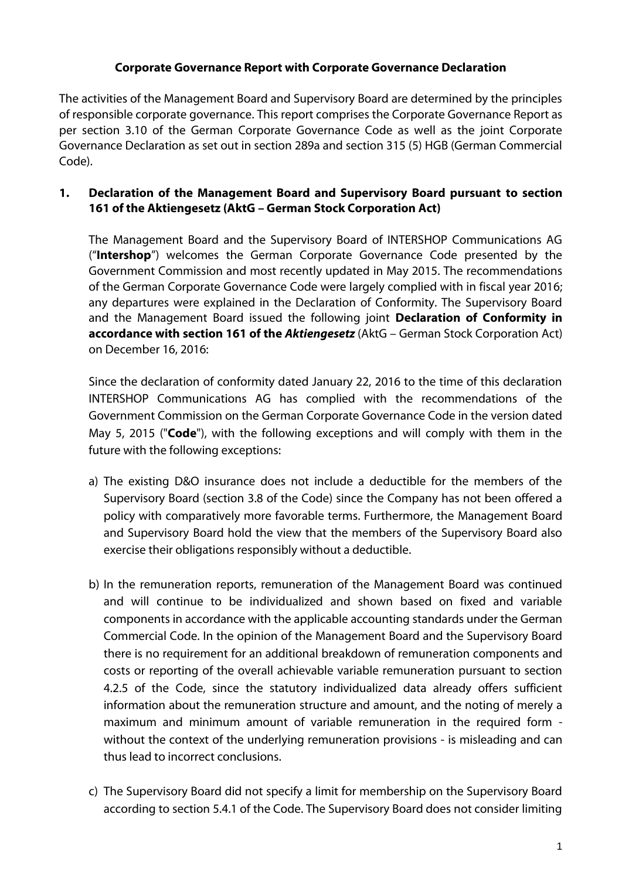### **Corporate Governance Report with Corporate Governance Declaration**

The activities of the Management Board and Supervisory Board are determined by the principles of responsible corporate governance. This report comprises the Corporate Governance Report as per section 3.10 of the German Corporate Governance Code as well as the joint Corporate Governance Declaration as set out in section 289a and section 315 (5) HGB (German Commercial Code).

# **1. Declaration of the Management Board and Supervisory Board pursuant to section 161 of the Aktiengesetz (AktG – German Stock Corporation Act)**

The Management Board and the Supervisory Board of INTERSHOP Communications AG ("**Intershop**") welcomes the German Corporate Governance Code presented by the Government Commission and most recently updated in May 2015. The recommendations of the German Corporate Governance Code were largely complied with in fiscal year 2016; any departures were explained in the Declaration of Conformity. The Supervisory Board and the Management Board issued the following joint **Declaration of Conformity in accordance with section 161 of the** *Aktiengesetz* (AktG – German Stock Corporation Act) on December 16, 2016:

Since the declaration of conformity dated January 22, 2016 to the time of this declaration INTERSHOP Communications AG has complied with the recommendations of the Government Commission on the German Corporate Governance Code in the version dated May 5, 2015 ("**Code**"), with the following exceptions and will comply with them in the future with the following exceptions:

- a) The existing D&O insurance does not include a deductible for the members of the Supervisory Board (section 3.8 of the Code) since the Company has not been offered a policy with comparatively more favorable terms. Furthermore, the Management Board and Supervisory Board hold the view that the members of the Supervisory Board also exercise their obligations responsibly without a deductible.
- b) In the remuneration reports, remuneration of the Management Board was continued and will continue to be individualized and shown based on fixed and variable components in accordance with the applicable accounting standards under the German Commercial Code. In the opinion of the Management Board and the Supervisory Board there is no requirement for an additional breakdown of remuneration components and costs or reporting of the overall achievable variable remuneration pursuant to section 4.2.5 of the Code, since the statutory individualized data already offers sufficient information about the remuneration structure and amount, and the noting of merely a maximum and minimum amount of variable remuneration in the required form without the context of the underlying remuneration provisions - is misleading and can thus lead to incorrect conclusions.
- c) The Supervisory Board did not specify a limit for membership on the Supervisory Board according to section 5.4.1 of the Code. The Supervisory Board does not consider limiting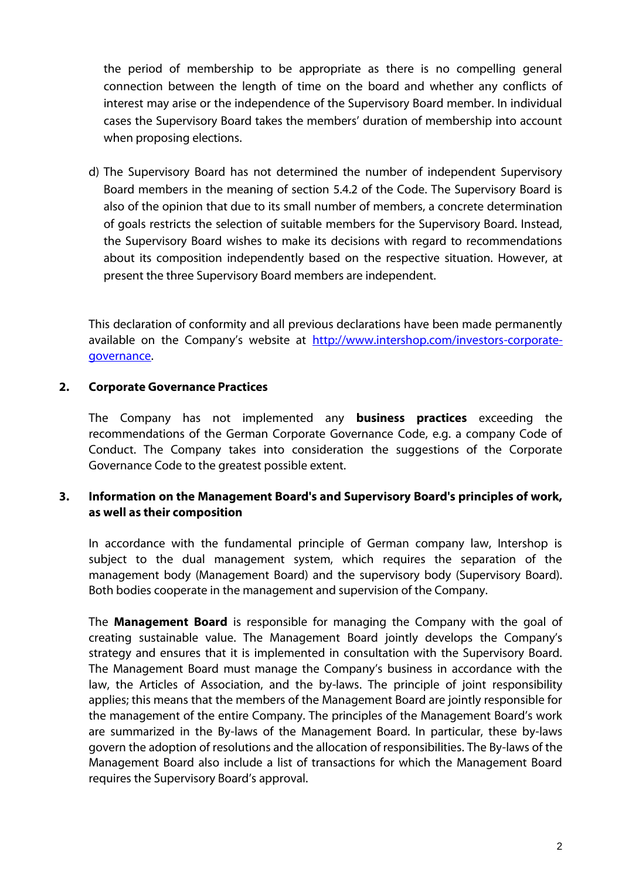the period of membership to be appropriate as there is no compelling general connection between the length of time on the board and whether any conflicts of interest may arise or the independence of the Supervisory Board member. In individual cases the Supervisory Board takes the members' duration of membership into account when proposing elections.

d) The Supervisory Board has not determined the number of independent Supervisory Board members in the meaning of section 5.4.2 of the Code. The Supervisory Board is also of the opinion that due to its small number of members, a concrete determination of goals restricts the selection of suitable members for the Supervisory Board. Instead, the Supervisory Board wishes to make its decisions with regard to recommendations about its composition independently based on the respective situation. However, at present the three Supervisory Board members are independent.

This declaration of conformity and all previous declarations have been made permanently available on the Company's website at [http://www.intershop.com/investors-corporate](http://www.intershop.com/investors-corporate-governance)[governance.](http://www.intershop.com/investors-corporate-governance)

#### **2. Corporate Governance Practices**

The Company has not implemented any **business practices** exceeding the recommendations of the German Corporate Governance Code, e.g. a company Code of Conduct. The Company takes into consideration the suggestions of the Corporate Governance Code to the greatest possible extent.

### **3. Information on the Management Board's and Supervisory Board's principles of work, as well as their composition**

In accordance with the fundamental principle of German company law, Intershop is subject to the dual management system, which requires the separation of the management body (Management Board) and the supervisory body (Supervisory Board). Both bodies cooperate in the management and supervision of the Company.

The **Management Board** is responsible for managing the Company with the goal of creating sustainable value. The Management Board jointly develops the Company's strategy and ensures that it is implemented in consultation with the Supervisory Board. The Management Board must manage the Company's business in accordance with the law, the Articles of Association, and the by-laws. The principle of joint responsibility applies; this means that the members of the Management Board are jointly responsible for the management of the entire Company. The principles of the Management Board's work are summarized in the By-laws of the Management Board. In particular, these by-laws govern the adoption of resolutions and the allocation of responsibilities. The By-laws of the Management Board also include a list of transactions for which the Management Board requires the Supervisory Board's approval.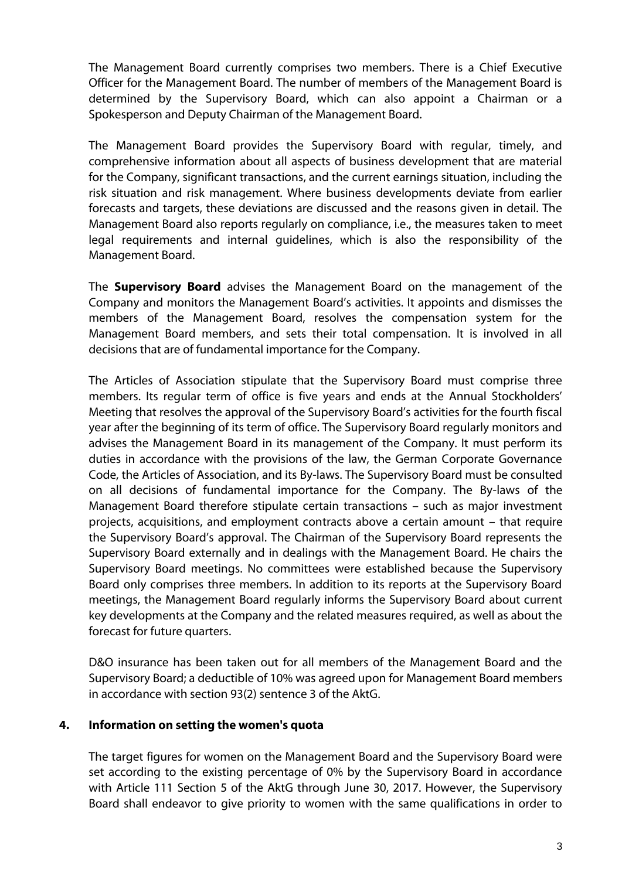The Management Board currently comprises two members. There is a Chief Executive Officer for the Management Board. The number of members of the Management Board is determined by the Supervisory Board, which can also appoint a Chairman or a Spokesperson and Deputy Chairman of the Management Board.

The Management Board provides the Supervisory Board with regular, timely, and comprehensive information about all aspects of business development that are material for the Company, significant transactions, and the current earnings situation, including the risk situation and risk management. Where business developments deviate from earlier forecasts and targets, these deviations are discussed and the reasons given in detail. The Management Board also reports regularly on compliance, i.e., the measures taken to meet legal requirements and internal guidelines, which is also the responsibility of the Management Board.

The **Supervisory Board** advises the Management Board on the management of the Company and monitors the Management Board's activities. It appoints and dismisses the members of the Management Board, resolves the compensation system for the Management Board members, and sets their total compensation. It is involved in all decisions that are of fundamental importance for the Company.

The Articles of Association stipulate that the Supervisory Board must comprise three members. Its regular term of office is five years and ends at the Annual Stockholders' Meeting that resolves the approval of the Supervisory Board's activities for the fourth fiscal year after the beginning of its term of office. The Supervisory Board regularly monitors and advises the Management Board in its management of the Company. It must perform its duties in accordance with the provisions of the law, the German Corporate Governance Code, the Articles of Association, and its By-laws. The Supervisory Board must be consulted on all decisions of fundamental importance for the Company. The By-laws of the Management Board therefore stipulate certain transactions – such as major investment projects, acquisitions, and employment contracts above a certain amount – that require the Supervisory Board's approval. The Chairman of the Supervisory Board represents the Supervisory Board externally and in dealings with the Management Board. He chairs the Supervisory Board meetings. No committees were established because the Supervisory Board only comprises three members. In addition to its reports at the Supervisory Board meetings, the Management Board regularly informs the Supervisory Board about current key developments at the Company and the related measures required, as well as about the forecast for future quarters.

D&O insurance has been taken out for all members of the Management Board and the Supervisory Board; a deductible of 10% was agreed upon for Management Board members in accordance with section 93(2) sentence 3 of the AktG.

#### **4. Information on setting the women's quota**

The target figures for women on the Management Board and the Supervisory Board were set according to the existing percentage of 0% by the Supervisory Board in accordance with Article 111 Section 5 of the AktG through June 30, 2017. However, the Supervisory Board shall endeavor to give priority to women with the same qualifications in order to